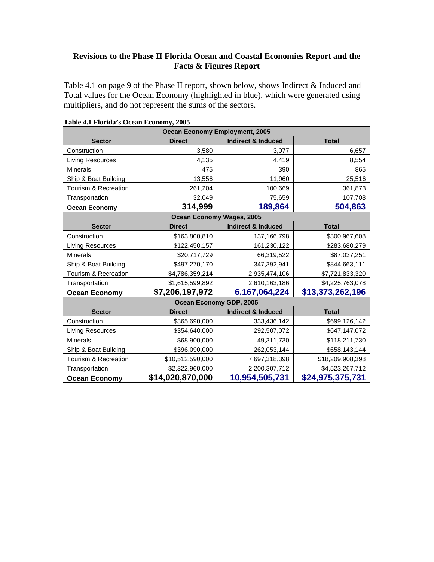## **Revisions to the Phase II Florida Ocean and Coastal Economies Report and the Facts & Figures Report**

Table 4.1 on page 9 of the Phase II report, shown below, shows Indirect & Induced and Total values for the Ocean Economy (highlighted in blue), which were generated using multipliers, and do not represent the sums of the sectors.

| <b>Ocean Economy Employment, 2005</b> |                                  |                               |                  |
|---------------------------------------|----------------------------------|-------------------------------|------------------|
| <b>Sector</b>                         | <b>Direct</b>                    | <b>Indirect &amp; Induced</b> | <b>Total</b>     |
| Construction                          | 3,580                            | 3,077                         | 6,657            |
| Living Resources                      | 4,135                            | 4,419                         | 8,554            |
| Minerals                              | 475                              | 390                           | 865              |
| Ship & Boat Building                  | 13,556                           | 11,960                        | 25,516           |
| Tourism & Recreation                  | 261,204                          | 100,669                       | 361,873          |
| Transportation                        | 32,049                           | 75,659                        | 107,708          |
| <b>Ocean Economy</b>                  | 314,999                          | 189,864                       | 504,863          |
|                                       | <b>Ocean Economy Wages, 2005</b> |                               |                  |
| <b>Sector</b>                         | <b>Direct</b>                    | <b>Indirect &amp; Induced</b> | <b>Total</b>     |
| Construction                          | \$163,800,810                    | 137,166,798                   | \$300,967,608    |
| Living Resources                      | \$122,450,157                    | 161,230,122                   | \$283,680,279    |
| <b>Minerals</b>                       | \$20,717,729                     | 66,319,522                    | \$87,037,251     |
| Ship & Boat Building                  | \$497,270,170                    | 347,392,941                   | \$844,663,111    |
| Tourism & Recreation                  | \$4,786,359,214                  | 2,935,474,106                 | \$7,721,833,320  |
| Transportation                        | \$1,615,599,892                  | 2,610,163,186                 | \$4,225,763,078  |
| <b>Ocean Economy</b>                  | \$7,206,197,972                  | 6,167,064,224                 | \$13,373,262,196 |
|                                       | Ocean Economy GDP, 2005          |                               |                  |
| <b>Sector</b>                         | <b>Direct</b>                    | <b>Indirect &amp; Induced</b> | <b>Total</b>     |
| Construction                          | \$365,690,000                    | 333,436,142                   | \$699,126,142    |
| <b>Living Resources</b>               | \$354,640,000                    | 292,507,072                   | \$647,147,072    |
| Minerals                              | \$68,900,000                     | 49,311,730                    | \$118,211,730    |
| Ship & Boat Building                  | \$396,090,000                    | 262,053,144                   | \$658,143,144    |
| Tourism & Recreation                  | \$10,512,590,000                 | 7,697,318,398                 | \$18,209,908,398 |
| Transportation                        | \$2,322,960,000                  | 2,200,307,712                 | \$4,523,267,712  |
| <b>Ocean Economy</b>                  | \$14,020,870,000                 | 10,954,505,731                | \$24,975,375,731 |

| Table 4.1 Florida's Ocean Economy, 2005 |  |  |  |  |  |
|-----------------------------------------|--|--|--|--|--|
|-----------------------------------------|--|--|--|--|--|